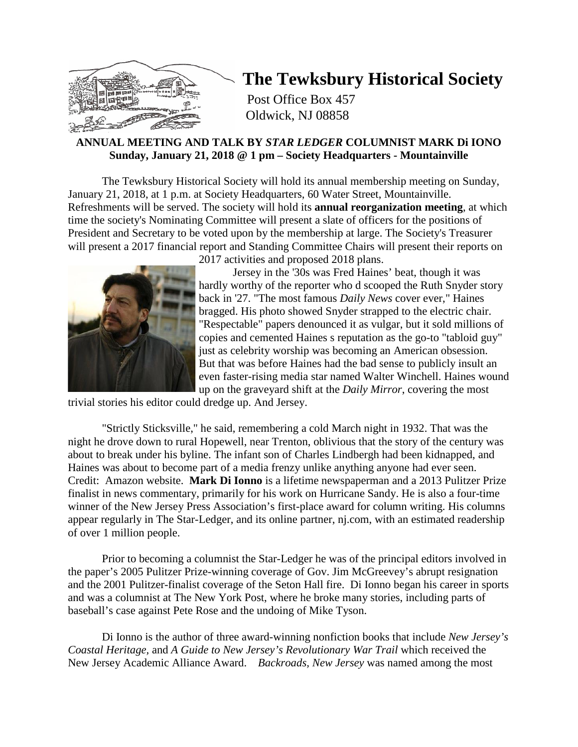

# **The Tewksbury Historical Society**

Post Office Box 457 Oldwick, NJ 08858

# **ANNUAL MEETING AND TALK BY** *STAR LEDGER* **COLUMNIST MARK Di IONO Sunday, January 21, 2018 @ 1 pm – Society Headquarters - Mountainville**

The Tewksbury Historical Society will hold its annual membership meeting on Sunday, January 21, 2018, at 1 p.m. at Society Headquarters, 60 Water Street, Mountainville. Refreshments will be served. The society will hold its **annual reorganization meeting**, at which time the society's Nominating Committee will present a slate of officers for the positions of President and Secretary to be voted upon by the membership at large. The Society's Treasurer will present a 2017 financial report and Standing Committee Chairs will present their reports on



2017 activities and proposed 2018 plans.

Jersey in the '30s was Fred Haines' beat, though it was hardly worthy of the reporter who d scooped the Ruth Snyder story back in '27. "The most famous *Daily News* cover ever," Haines bragged. His photo showed Snyder strapped to the electric chair. "Respectable" papers denounced it as vulgar, but it sold millions of copies and cemented Haines s reputation as the go-to "tabloid guy" just as celebrity worship was becoming an American obsession. But that was before Haines had the bad sense to publicly insult an even faster-rising media star named Walter Winchell. Haines wound up on the graveyard shift at the *Daily Mirror*, covering the most

trivial stories his editor could dredge up. And Jersey.

"Strictly Sticksville," he said, remembering a cold March night in 1932. That was the night he drove down to rural Hopewell, near Trenton, oblivious that the story of the century was about to break under his byline. The infant son of Charles Lindbergh had been kidnapped, and Haines was about to become part of a media frenzy unlike anything anyone had ever seen. Credit: Amazon website. **Mark Di Ionno** is a lifetime newspaperman and a 2013 Pulitzer Prize finalist in news commentary, primarily for his work on Hurricane Sandy. He is also a four-time winner of the New Jersey Press Association's first-place award for column writing. His columns appear regularly in The Star-Ledger, and its online partner, nj.com, with an estimated readership of over 1 million people.

Prior to becoming a columnist the Star-Ledger he was of the principal editors involved in the paper's 2005 Pulitzer Prize-winning coverage of Gov. Jim McGreevey's abrupt resignation and the 2001 Pulitzer-finalist coverage of the Seton Hall fire. Di Ionno began his career in sports and was a columnist at The New York Post, where he broke many stories, including parts of baseball's case against Pete Rose and the undoing of Mike Tyson.

Di Ionno is the author of three award-winning nonfiction books that include *New Jersey's Coastal Heritage,* and *A Guide to New Jersey's Revolutionary War Trail* which received the New Jersey Academic Alliance Award. *Backroads, New Jersey* was named among the most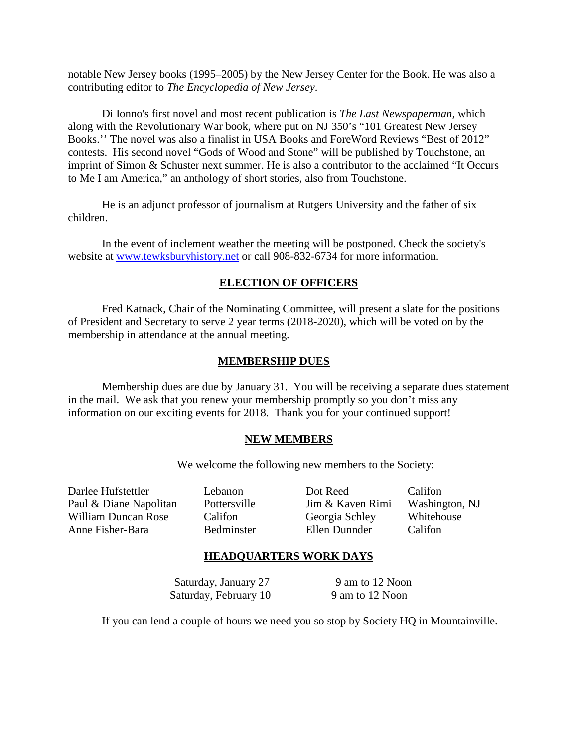notable New Jersey books (1995–2005) by the New Jersey Center for the Book. He was also a contributing editor to *The Encyclopedia of New Jersey*.

Di Ionno's first novel and most recent publication is *The Last Newspaperman,* which along with the Revolutionary War book, where put on NJ 350's "101 Greatest New Jersey Books.'' The novel was also a finalist in USA Books and ForeWord Reviews "Best of 2012" contests. His second novel "Gods of Wood and Stone" will be published by Touchstone, an imprint of Simon & Schuster next summer. He is also a contributor to the acclaimed "It Occurs to Me I am America," an anthology of short stories, also from Touchstone.

He is an adjunct professor of journalism at Rutgers University and the father of six children.

In the event of inclement weather the meeting will be postponed. Check the society's website at [www.tewksburyhistory.net](http://www.tewksburyhistory.net/) or call 908-832-6734 for more information.

# **ELECTION OF OFFICERS**

Fred Katnack, Chair of the Nominating Committee, will present a slate for the positions of President and Secretary to serve 2 year terms (2018-2020), which will be voted on by the membership in attendance at the annual meeting.

#### **MEMBERSHIP DUES**

Membership dues are due by January 31. You will be receiving a separate dues statement in the mail. We ask that you renew your membership promptly so you don't miss any information on our exciting events for 2018. Thank you for your continued support!

#### **NEW MEMBERS**

We welcome the following new members to the Society:

Darlee Hufstettler Lebanon Dot Reed Califon

Paul & Diane Napolitan Pottersville Jim & Kaven Rimi Washington, NJ William Duncan Rose Califon Georgia Schley Whitehouse<br>
Anne Fisher-Bara Bedminster Ellen Dunnder Califon Anne Fisher-Bara Bedminster Ellen Dunnder Califon

# **HEADQUARTERS WORK DAYS**

Saturday, January 27 9 am to 12 Noon Saturday, February 10 9 am to 12 Noon

If you can lend a couple of hours we need you so stop by Society HQ in Mountainville.